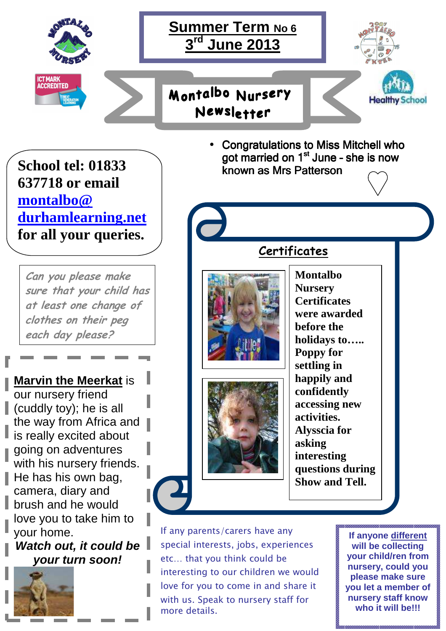